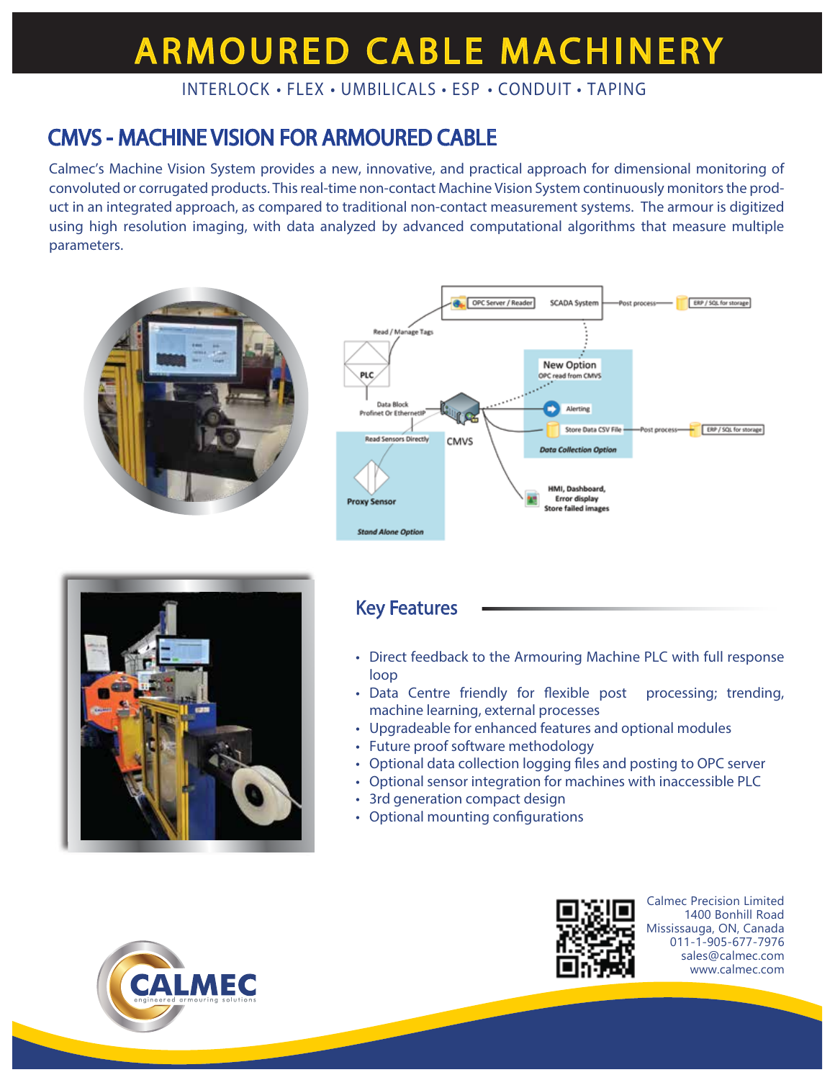# **ARMOURED CABLE MACHINERY**

INTERLOCK • FLEX • UMBILICALS • ESP • CONDUIT • TAPING

### CMVS - MACHINE VISION FOR ARMOURED CABLE

Calmec's Machine Vision System provides a new, innovative, and practical approach for dimensional monitoring of convoluted or corrugated products. This real-time non-contact Machine Vision System continuously monitors the product in an integrated approach, as compared to traditional non-contact measurement systems. The armour is digitized using high resolution imaging, with data analyzed by advanced computational algorithms that measure multiple parameters.





### Key Features

- Direct feedback to the Armouring Machine PLC with full response loop
- Data Centre friendly for flexible post processing; trending, machine learning, external processes
- Upgradeable for enhanced features and optional modules
- Future proof software methodology
- Optional data collection logging files and posting to OPC server
- Optional sensor integration for machines with inaccessible PLC
- 3rd generation compact design
- Optional mounting configurations





Calmec Precision Limited 1400 Bonhill Road Mississauga, ON, Canada 011-1-905-677-7976 sales@calmec.com www.calmec.com